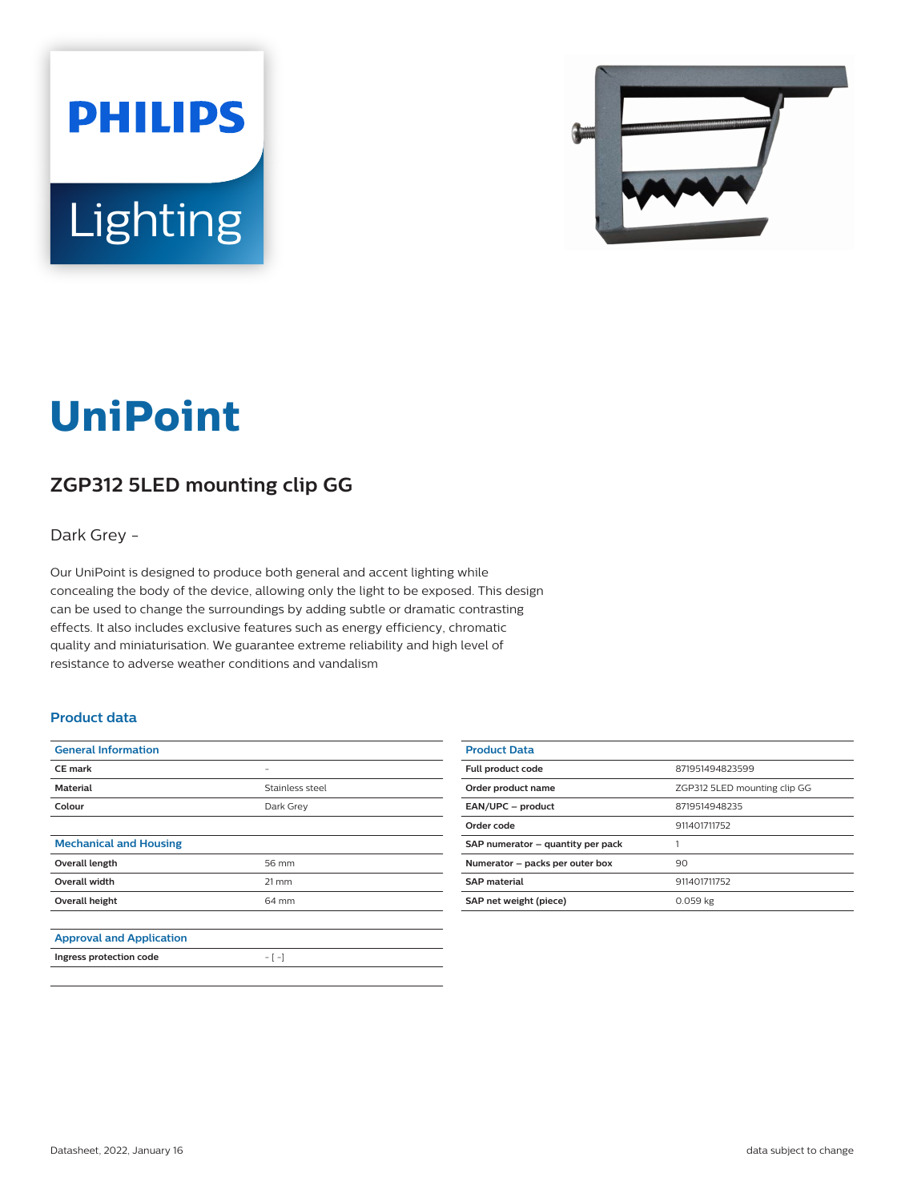



# **UniPoint**

## **ZGP312 5LED mounting clip GG**

Dark Grey -

Our UniPoint is designed to produce both general and accent lighting while concealing the body of the device, allowing only the light to be exposed. This design can be used to change the surroundings by adding subtle or dramatic contrasting effects. It also includes exclusive features such as energy efficiency, chromatic quality and miniaturisation. We guarantee extreme reliability and high level of resistance to adverse weather conditions and vandalism

#### **Product data**

| <b>General Information</b>      |                   |
|---------------------------------|-------------------|
| <b>CE</b> mark                  |                   |
| <b>Material</b>                 | Stainless steel   |
| Colour                          | Dark Grey         |
|                                 |                   |
| <b>Mechanical and Housing</b>   |                   |
| Overall length                  | 56 mm             |
| <b>Overall width</b>            | $21 \, \text{mm}$ |
| Overall height                  | 64 mm             |
|                                 |                   |
| <b>Approval and Application</b> |                   |
| Ingress protection code         | $-[-]$            |

| <b>Product Data</b>               |                              |
|-----------------------------------|------------------------------|
| Full product code                 | 871951494823599              |
| Order product name                | ZGP312 5LED mounting clip GG |
| EAN/UPC - product                 | 8719514948235                |
| Order code                        | 911401711752                 |
| SAP numerator - quantity per pack |                              |
| Numerator - packs per outer box   | 90                           |
| <b>SAP</b> material               | 911401711752                 |
| SAP net weight (piece)            | 0.059 kg                     |
|                                   |                              |